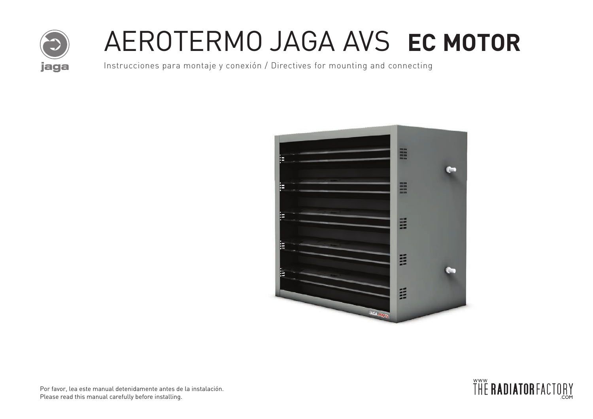

# AEROTERMO JAGA AVS **EC MOTOR**

Instrucciones para montaje y conexión / Directives for mounting and connecting



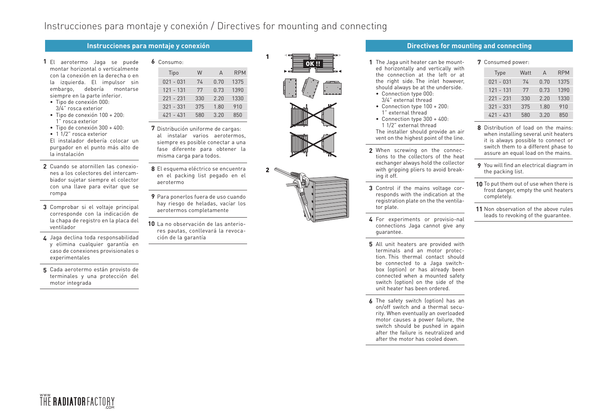### Instrucciones para montaje y conexión / Directives for mounting and connecting

- 1 El aerotermo Jaga se puede montar horizontal o verticalmente con la conexión en la derecha o en la izquierda. El impulsor sin embargo, debería montarse siempre en la parte inferior.
- Tipo de conexión 000: 3/4" rosca exterior
- Tipo de conexión 100 + 200: 1" rosca exterior
- Tipo de conexión 300 + 400:
- 1 1/2" rosca exterior

El instalador debería colocar un purgador en el punto más alto de la instalación

- Cuando se atornillen las conexio-**2** nes a los colectores del intercambiador sujetar siempre el colector con una llave para evitar que se rompa
- Comprobar si el voltaje principal **3** corresponde con la indicación de la chapa de registro en la placa del ventilador
- Jaga declina toda responsabilidad **4** y elimina cualquier garantía en caso de conexiones provisionales o experimentales
- Cada aerotermo están provisto de **5** terminales y una protección del motor integrada

| 6 Consumo:  |     |      |            |  | 1 The Jaga unit heater can be mount-                                    |
|-------------|-----|------|------------|--|-------------------------------------------------------------------------|
| Tipo        | W   |      | <b>RPM</b> |  | ed horizontally and vertically with<br>the connection at the left or at |
| $021 - 031$ | 74  | 0.70 | 1375       |  | the right side. The inlet however,                                      |
| $121 - 131$ | 77  | 0.73 | 1390       |  | should always be at the underside.<br>• Connection type 000:            |
| $221 - 231$ | 330 | 2.20 | 1330       |  | 3/4" external thread                                                    |
| $321 - 331$ | 375 | 1.80 | 910        |  | • Connection type $100 + 200$ :                                         |
| $421 - 431$ | 580 | 3.20 | 850        |  | 1" external thread<br>$\sim$ Connection time 2000 $\cdot$ /00           |

Distribución uniforme de cargas: **7** al instalar varios aerotermos,

siempre es posible conectar a una fase diferente para obtener la misma carga para todos.

- El esquema eléctrico se encuentra **8** en el packing list pegado en el aerotermo
- Para ponerlos fuera de uso cuando **9** hay riesgo de heladas, vacíar los aerotermos completamente
- 10 La no observación de las anteriores pautas, conllevará la revocación de la garantía



1

2



#### **Instrucciones para montaje y conexión Directives for mounting and connecting**

- ed horizontally and vertically with the connection at the left or at the right side. The inlet however, should always be at the underside.
- Connection type 000: 3/4" external thread
- Connection type 100 + 200: 1" external thread
- Connection type 300 + 400: 1 1/2" external thread The installer should provide an air

vent on the highest point of the line.

- **2** When screwing on the connections to the collectors of the heat exchanger always hold the collector with gripping pliers to avoid breaking it off.
- **3** Control if the mains voltage corresponds with the indication at the registration plate on the the ventilator plate.
- **4** For experiments or provisio-nal connections Jaga cannot give any guarantee.
- **5** All unit heaters are provided with terminals and an motor protection. This thermal contact should be connected to a Jaga switchbox (option) or has already been connected when a mounted safety switch (option) on the side of the unit heater has been ordered.
- **6** The safety switch (option) has an on/off switch and a thermal security. When eventually an overloaded motor causes a power failure, the switch should be pushed in again after the failure is neutralized and after the motor has cooled down.

### **7** Consumed power: Type Watt A RPM 021 - 031 74 0.70 1375 121 - 131 77 0.73 1390 221 - 231 330 2.20 1330 321 - 331 375 1.80 910

**8** Distribution of load on the mains: when installing several unit heaters it is always possible to connect or switch them to a different phase to assure an equal load on the mains.

421 - 431 580 3.20 850

- **9** You will find an electrical diagram in the packing list.
- **10** To put them out of use when there is frost danger, empty the unit heaters completely.
- **11** Non observation of the above rules leads to revoking of the guarantee.

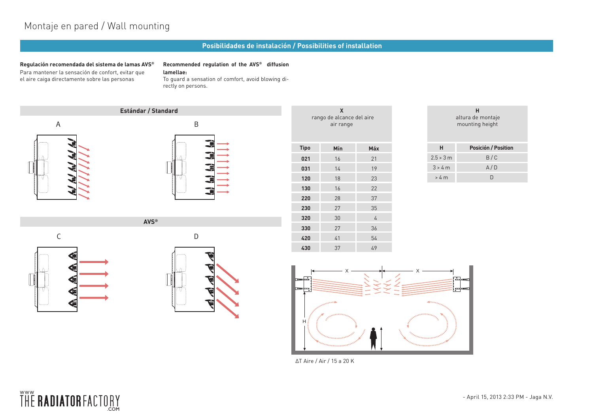### Montaje en pared / Wall mounting

#### **Posibilidades de instalación / Possibilities of installation**

**Regulación recomendada del sistema de lamas AVS®** Para mantener la sensación de confort, evitar que el aire caiga directamente sobre las personas

#### **Recommended regulation of the AVS® diffusion**

**lamellae:**

To guard a sensation of comfort, avoid blowing directly on persons.





**AVS®**



| н<br>altura de montaje<br>mounting height |                     |  |  |  |  |  |  |
|-------------------------------------------|---------------------|--|--|--|--|--|--|
| н                                         | Posición / Position |  |  |  |  |  |  |
| 2.5 > 3 m                                 | B/C                 |  |  |  |  |  |  |
| 3 > 4 m                                   | A/D                 |  |  |  |  |  |  |
| > 4 m                                     |                     |  |  |  |  |  |  |







∆T Aire / Air / 15 a 20 K

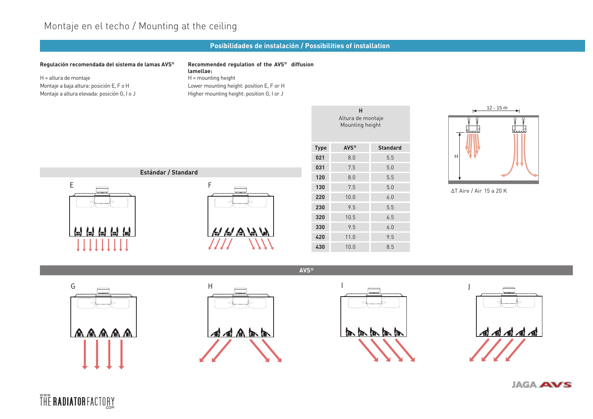### Montaje en el techo / Mounting at the ceiling

### **Posibilidades de instalación / Possibilities of installation**

I

**AVS®**

#### **Regulación recomendada del sistema de lamas AVS®**

H = altura de montaje Montaje a baja altura: posición E, F o H Montaje a altura elevada: posición G, I o J

#### **Recommended regulation of the AVS® diffusion lamellae:** H = mounting height Lower mounting height: position E, F or H Higher mounting height: position G, I or J



|                                      | н                |                 | н                          |
|--------------------------------------|------------------|-----------------|----------------------------|
| Altura de montaje<br>Mounting height |                  |                 | سىتتا                      |
| <b>Type</b>                          | AVS <sup>®</sup> | <b>Standard</b> |                            |
| 021                                  | 8.0              | 5.5             | Η                          |
| 031                                  | 7.5              | 5.0             |                            |
| 120                                  | 8.0              | 5.5             |                            |
| 130                                  | 7.5              | 5.0             | $\Delta T$ Aire / $\angle$ |
| 220                                  | 10.0             | 6.0             |                            |
| 230                                  | 9.5              | 5.5             |                            |
| 320                                  | 10.5             | 6.5             |                            |
| 330                                  | 9.5              | 6.0             |                            |
| 420                                  | 11.0             | 9.5             |                            |
| 430                                  | 10.0             | 8.5             |                            |
|                                      |                  |                 |                            |



∆T Aire / Air 15 a 20 K









**JAGA AVS**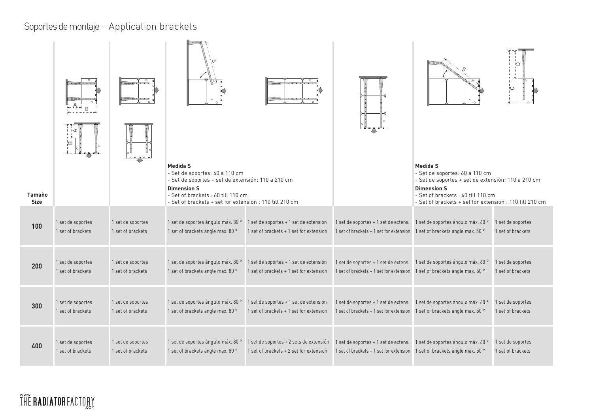## Soportes de montaje - Application brackets

| <b>Tamaño</b> | $\circ$<br>B<br>◁<br>ë |                   | <b>Medida S</b><br>- Set de soportes: 60 a 110 cm<br>- Set de soportes + set de extensión: 110 a 210 cm<br><b>Dimension S</b><br>- Set of brackets: 60 till 110 cm |                                         |                                         | <b>Medida S</b><br>- Set de soportes: 60 a 110 cm<br>- Set de soportes + set de extensión: 110 a 210 cm<br><b>Dimension S</b><br>- Set of brackets: 60 till 110 cm | ்≏                |
|---------------|------------------------|-------------------|--------------------------------------------------------------------------------------------------------------------------------------------------------------------|-----------------------------------------|-----------------------------------------|--------------------------------------------------------------------------------------------------------------------------------------------------------------------|-------------------|
| <b>Size</b>   |                        |                   | - Set of brackets + set for extension : 110 till 210 cm                                                                                                            |                                         |                                         | - Set of brackets + set for extension : 110 till 210 cm                                                                                                            |                   |
| 100           | 1 set de soportes      | 1 set de soportes | 1 set de soportes ángulo máx. 80 °                                                                                                                                 | 1 set de soportes + 1 set de extensión  | 1 set de soportes + 1 set de extens.    | 1 set de soportes ángulo máx. 60 °                                                                                                                                 | 1 set de soportes |
|               | 1 set of brackets      | 1 set of brackets | 1 set of brackets angle max. 80 °                                                                                                                                  | 1 set of brackets + 1 set for extension | 1 set of brackets + 1 set for extension | 1 set of brackets angle max. 50 °                                                                                                                                  | 1 set of brackets |
| 200           | 1 set de soportes      | 1 set de soportes | 1 set de soportes ángulo máx. 80 °                                                                                                                                 | 1 set de soportes + 1 set de extensión  | 1 set de soportes + 1 set de extens.    | 1 set de soportes ángulo máx. 60 °                                                                                                                                 | 1 set de soportes |
|               | 1 set of brackets      | 1 set of brackets | 1 set of brackets angle max. 80 °                                                                                                                                  | 1 set of brackets + 1 set for extension | 1 set of brackets + 1 set for extension | 1 set of brackets angle max. 50 °                                                                                                                                  | 1 set of brackets |
| 300           | 1 set de soportes      | 1 set de soportes | 1 set de soportes ángulo máx. 80 °                                                                                                                                 | 1 set de soportes + 1 set de extensión  | 1 set de soportes + 1 set de extens.    | 1 set de soportes ángulo máx. 60 °                                                                                                                                 | 1 set de soportes |
|               | 1 set of brackets      | 1 set of brackets | 1 set of brackets angle max. 80 °                                                                                                                                  | 1 set of brackets + 1 set for extension | 1 set of brackets + 1 set for extension | 1 set of brackets angle max. 50 °                                                                                                                                  | 1 set of brackets |
| 400           | 1 set de soportes      | 1 set de soportes | 1 set de soportes ángulo máx. 80 °                                                                                                                                 | 1 set de soportes + 2 sets de extensión | 1 set de soportes + 1 set de extens.    | 1 set de soportes ángulo máx. 60 °                                                                                                                                 | 1 set de soportes |
|               | 1 set of brackets      | 1 set of brackets | 1 set of brackets angle max. 80 °                                                                                                                                  | 1 set of brackets + 2 set for extension | 1 set of brackets + 1 set for extension | 1 set of brackets angle max. 50 °                                                                                                                                  | 1 set of brackets |

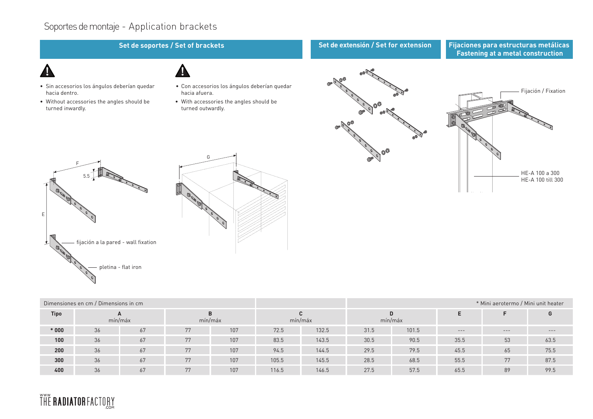### Soportes de montaje - Application brackets

### **Set de soportes / Set of brackets Set de extensión / Set for extension**

**Fijaciones para estructuras metálicas Fastening at a metal construction**

- Sin accesorios los ángulos deberían quedar hacia dentro.
- Without accessories the angles should be turned inwardly.
- Con accesorios los ángulos deberían quedar hacia afuera.

G

• With accessories the angles should be turned outwardly.







| Dimensiones en cm / Dimensions in cm |         |    |         |     |         |       | * Mini aerotermo / Mini unit heater |       |       |       |       |
|--------------------------------------|---------|----|---------|-----|---------|-------|-------------------------------------|-------|-------|-------|-------|
| <b>Tipo</b>                          | mín/máx |    | mín/máx |     | mín/máx |       | mín/máx                             |       |       |       |       |
| $*000$                               | 36      | 67 | 77      | 107 | 72.5    | 132.5 | 31.5                                | 101.5 | $---$ | $---$ | $---$ |
| 100                                  | 36      | 67 | 77      | 107 | 83.5    | 143.5 | 30.5                                | 90.5  | 35.5  | 53    | 63.5  |
| 200                                  | 36      | 67 | 77      | 107 | 94.5    | 144.5 | 29.5                                | 79.5  | 45.5  | 65    | 75.5  |
| 300                                  | 36      | 67 | 77      | 107 | 105.5   | 145.5 | 28.5                                | 68.5  | 55.5  | 77    | 87.5  |
| 400                                  | 36      | 67 | 77      | 107 | 116.5   | 146.5 | 27.5                                | 57.5  | 65.5  | 89    | 99.5  |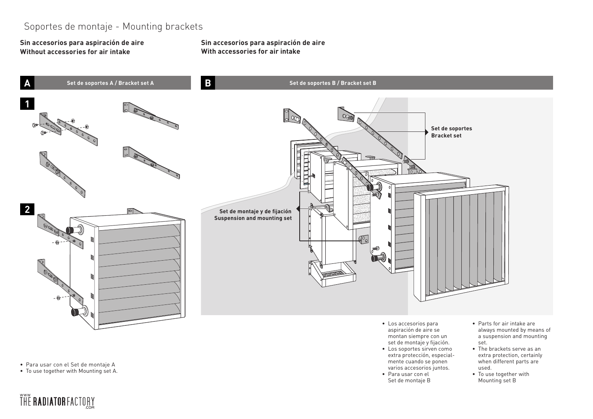### Soportes de montaje - Mounting brackets

**Sin accesorios para aspiración de aire Without accessories for air intake**

**Sin accesorios para aspiración de aire With accessories for air intake** 



- Para usar con el Set de montaje A
- To use together with Mounting set A.

- Los accesorios para aspiración de aire se montan siempre con un set de montaje y fijación.
- Los soportes sirven como extra protección, especialmente cuando se ponen varios accesorios juntos.
- Para usar con el Set de montaje B
- always mounted by means of a suspension and mounting set.
- The brackets serve as an extra protection, certainly when different parts are used.
- To use together with Mounting set B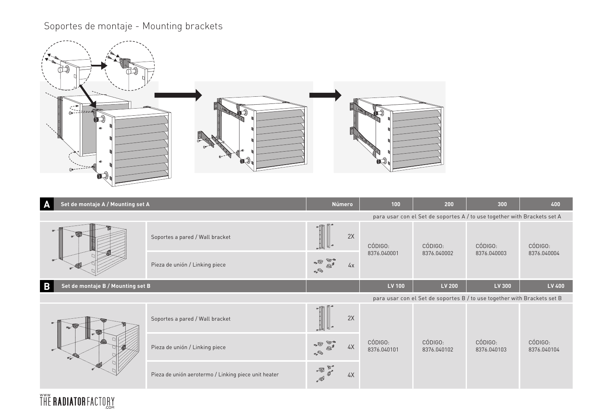# Soportes de montaje - Mounting brackets

**ŤHĚ RADIATORFACTORY** 



| A                                      | Set de montaje A / Mounting set A                                        |                                                                                                                                                                                                                                                                                                                                                                                                       |    | 100                    | 200                                                                      | 300                    | 400                    |
|----------------------------------------|--------------------------------------------------------------------------|-------------------------------------------------------------------------------------------------------------------------------------------------------------------------------------------------------------------------------------------------------------------------------------------------------------------------------------------------------------------------------------------------------|----|------------------------|--------------------------------------------------------------------------|------------------------|------------------------|
|                                        |                                                                          |                                                                                                                                                                                                                                                                                                                                                                                                       |    |                        | para usar con el Set de soportes A / to use together with Brackets set A |                        |                        |
|                                        | Soportes a pared / Wall bracket                                          |                                                                                                                                                                                                                                                                                                                                                                                                       | 2X | CÓDIGO:                | CÓDIGO:                                                                  | CÓDIGO:                | CÓDIGO:                |
|                                        | Pieza de unión / Linking piece                                           | $\sqrt{2}$<br>$\begin{picture}(120,10) \put(0,0){\line(1,0){10}} \put(15,0){\line(1,0){10}} \put(15,0){\line(1,0){10}} \put(15,0){\line(1,0){10}} \put(15,0){\line(1,0){10}} \put(15,0){\line(1,0){10}} \put(15,0){\line(1,0){10}} \put(15,0){\line(1,0){10}} \put(15,0){\line(1,0){10}} \put(15,0){\line(1,0){10}} \put(15,0){\line(1,0){10}} \put(15,0){\line($                                     | 4x | 8376.040001            | 8376.040002                                                              | 8376.040003            | 8376.040004            |
| B<br>Set de montaje B / Mounting set B |                                                                          |                                                                                                                                                                                                                                                                                                                                                                                                       |    | LV 100                 | <b>LV 200</b>                                                            | LV 300                 | LV 400                 |
|                                        | para usar con el Set de soportes B / to use together with Brackets set B |                                                                                                                                                                                                                                                                                                                                                                                                       |    |                        |                                                                          |                        |                        |
|                                        | Soportes a pared / Wall bracket                                          | $\overline{\phantom{a}}$                                                                                                                                                                                                                                                                                                                                                                              | 2X |                        | CÓDIGO:<br>8376.040102                                                   | CÓDIGO:<br>8376.040103 | CÓDIGO:<br>8376.040104 |
| ÷.                                     | Pieza de unión / Linking piece                                           | $\bullet$ $\circ$ $\bullet$<br>$\begin{picture}(120,140)(-10,0) \put(0,0){\vector(1,0){10}} \put(10,0){\vector(1,0){10}} \put(10,0){\vector(1,0){10}} \put(10,0){\vector(1,0){10}} \put(10,0){\vector(1,0){10}} \put(10,0){\vector(1,0){10}} \put(10,0){\vector(1,0){10}} \put(10,0){\vector(1,0){10}} \put(10,0){\vector(1,0){10}} \put(10,0){\vector(1,0){10}} \put(10,0){\vector(1,0){10}} \put(1$ | 4X | CÓDIGO:<br>8376.040101 |                                                                          |                        |                        |
|                                        | Pieza de unión aerotermo / Linking piece unit heater                     | - 4 5                                                                                                                                                                                                                                                                                                                                                                                                 | 4X |                        |                                                                          |                        |                        |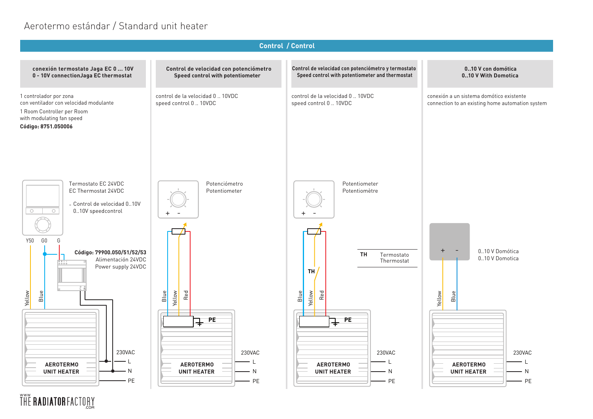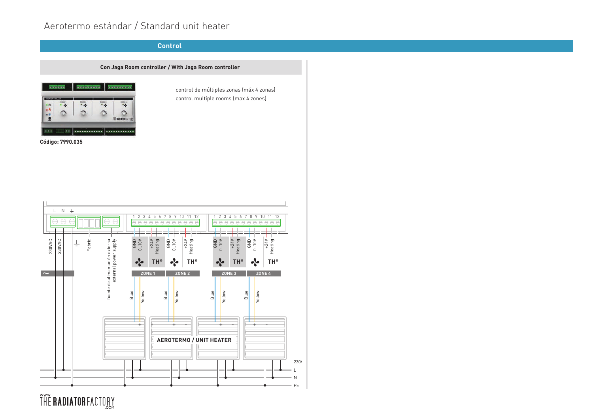### **Control**

### **Con Jaga Room controller / With Jaga Room controller**



**Código: 7990.035**

control de múltiples zonas (máx 4 zonas) control multiple rooms (max 4 zones)

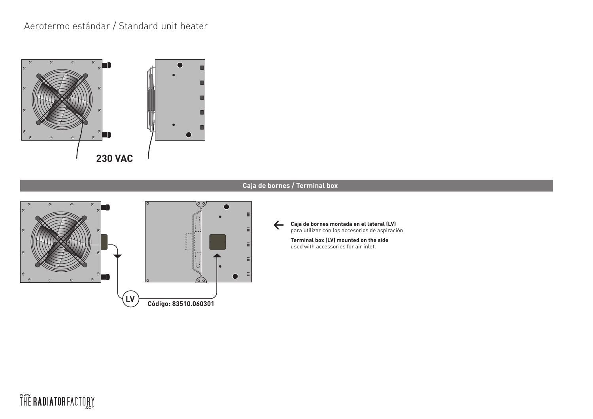

### **Caja de bornes / Terminal box**



**Caja de bornes montada en el lateral (LV)** ← Caja de bornes montada en el lateral (LV)<br>para utilizar con los accesorios de aspiración

> **Terminal box (LV) mounted on the side** used with accessories for air inlet.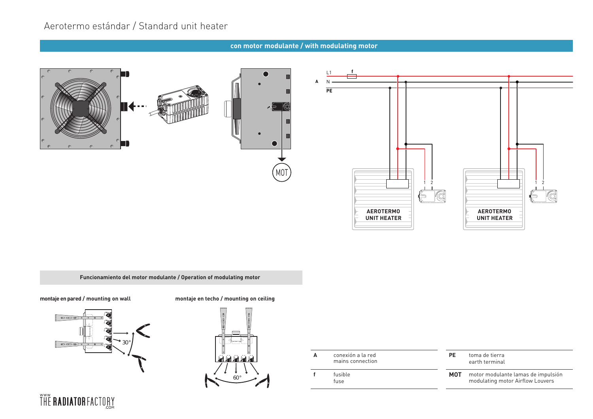### **con motor modulante / with modulating motor**



**Funcionamiento del motor modulante / Operation of modulating motor** 

#### **montaje en pared / mounting on wall**







**A** conexión a la red mains connection

**f** fusible fuse

**PE** toma de tierra earth terminal

**MOT** motor modulante lamas de impulsión modulating motor Airflow Louvers